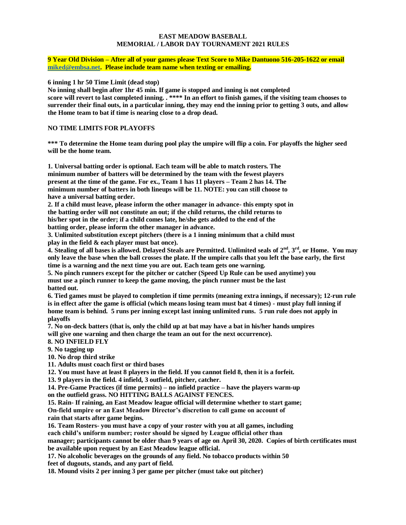#### **EAST MEADOW BASEBALL MEMORIAL / LABOR DAY TOURNAMENT 2021 RULES**

**9 Year Old Division – After all of your games please Text Score to Mike Dantuono 516-205-1622 or email [miked@embsa.net.](mailto:miked@embsa.net) Please include team name when texting or emailing.** 

**6 inning 1 hr 50 Time Limit (dead stop)**

**No inning shall begin after 1hr 45 min. If game is stopped and inning is not completed score will revert to last completed inning. . \*\*\*\* In an effort to finish games, if the visiting team chooses to surrender their final outs, in a particular inning, they may end the inning prior to getting 3 outs, and allow the Home team to bat if time is nearing close to a drop dead.** 

### **NO TIME LIMITS FOR PLAYOFFS**

**\*\*\* To determine the Home team during pool play the umpire will flip a coin. For playoffs the higher seed will be the home team.** 

**1. Universal batting order is optional. Each team will be able to match rosters. The minimum number of batters will be determined by the team with the fewest players present at the time of the game. For ex., Team 1 has 11 players – Team 2 has 14. The minimum number of batters in both lineups will be 11. NOTE: you can still choose to have a universal batting order.**

**2. If a child must leave, please inform the other manager in advance- this empty spot in the batting order will not constitute an out; if the child returns, the child returns to his/her spot in the order; if a child comes late, he/she gets added to the end of the batting order, please inform the other manager in advance.**

**3. Unlimited substitution except pitchers (there is a 1 inning minimum that a child must play in the field & each player must bat once).**

**4. Stealing of all bases is allowed. Delayed Steals are Permitted. Unlimited seals of 2nd , 3 rd, or Home. You may only leave the base when the ball crosses the plate. If the umpire calls that you left the base early, the first time is a warning and the next time you are out. Each team gets one warning.** 

**5. No pinch runners except for the pitcher or catcher (Speed Up Rule can be used anytime) you must use a pinch runner to keep the game moving, the pinch runner must be the last batted out.**

**6. Tied games must be played to completion if time permits (meaning extra innings, if necessary); 12-run rule is in effect after the game is official (which means losing team must bat 4 times) - must play full inning if home team is behind. 5 runs per inning except last inning unlimited runs. 5 run rule does not apply in playoffs**

**7. No on-deck batters (that is, only the child up at bat may have a bat in his/her hands umpires will give one warning and then charge the team an out for the next occurrence).**

#### **8. NO INFIELD FLY**

**9. No tagging up**

**10. No drop third strike**

**11. Adults must coach first or third bases**

**12. You must have at least 8 players in the field. If you cannot field 8, then it is a forfeit.**

**13. 9 players in the field. 4 infield, 3 outfield, pitcher, catcher.**

**14. Pre-Game Practices (if time permits) – no infield practice – have the players warm-up on the outfield grass. NO HITTING BALLS AGAINST FENCES.**

**15. Rain- If raining, an East Meadow league official will determine whether to start game;**

**On-field umpire or an East Meadow Director's discretion to call game on account of rain that starts after game begins.**

**16. Team Rosters- you must have a copy of your roster with you at all games, including**

**each child's uniform number; roster should be signed by League official other than**

**manager; participants cannot be older than 9 years of age on April 30, 2020. Copies of birth certificates must be available upon request by an East Meadow league official.**

**17. No alcoholic beverages on the grounds of any field. No tobacco products within 50 feet of dugouts, stands, and any part of field.**

**18. Mound visits 2 per inning 3 per game per pitcher (must take out pitcher)**